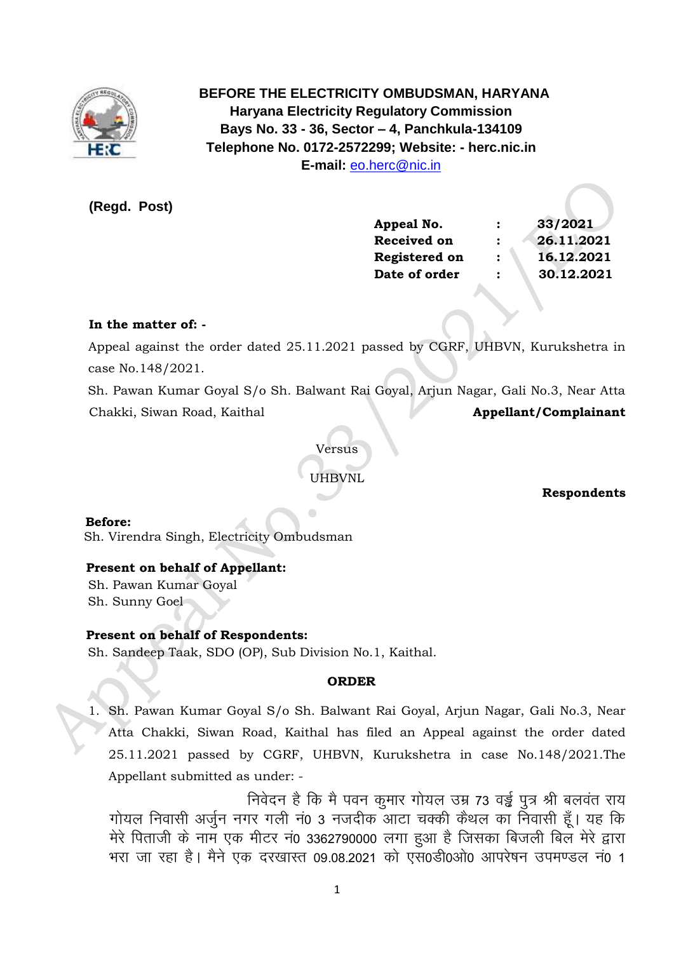

 **BEFORE THE ELECTRICITY OMBUDSMAN, HARYANA Haryana Electricity Regulatory Commission Bays No. 33 - 36, Sector – 4, Panchkula-134109 Telephone No. 0172-2572299; Website: - herc.nic.in E-mail:** [eo.herc@nic.in](mailto:eo.herc@nic.in)

**(Regd. Post)**

| Appeal No.         | ፡ | 33/2021    |
|--------------------|---|------------|
| <b>Received on</b> | : | 26.11.2021 |
| Registered on      | : | 16.12.2021 |
| Date of order      |   | 30.12.2021 |
|                    |   |            |

# **In the matter of: -**

 Appeal against the order dated 25.11.2021 passed by CGRF, UHBVN, Kurukshetra in case No.148/2021.

 Sh. Pawan Kumar Goyal S/o Sh. Balwant Rai Goyal, Arjun Nagar, Gali No.3, Near Atta Chakki, Siwan Road, Kaithal **Appellant/Complainant Appellant/Complainant** 

# Versus

UHBVNL

 **Respondents**

# **Before:**

Sh. Virendra Singh, Electricity Ombudsman

# **Present on behalf of Appellant:**

Sh. Pawan Kumar Goyal Sh. Sunny Goel

# **Present on behalf of Respondents:**

Sh. Sandeep Taak, SDO (OP), Sub Division No.1, Kaithal.

# **ORDER**

1. Sh. Pawan Kumar Goyal S/o Sh. Balwant Rai Goyal, Arjun Nagar, Gali No.3, Near Atta Chakki, Siwan Road, Kaithal has filed an Appeal against the order dated 25.11.2021 passed by CGRF, UHBVN, Kurukshetra in case No.148/2021.The Appellant submitted as under: -

निवेदन है कि मै पवन कुमार गोयल उम्र 73 वर्ड्ड पुत्र श्री बलवंत राय गोयल निवासी अर्जुन नगर गली नं0 3 नजदीक आटा चक्की कैथल का निवासी हूँ। यह कि मेरे पिताजी के नाम एक मीटर नं0 3362790000 लगा हुआ है जिसका बिजली बिल मेरे द्वारा भरा जा रहा है। मैने एक दरखास्त 09.08.2021 को एस0डी0ओ0 आपरेषन उपमण्डल नं0 1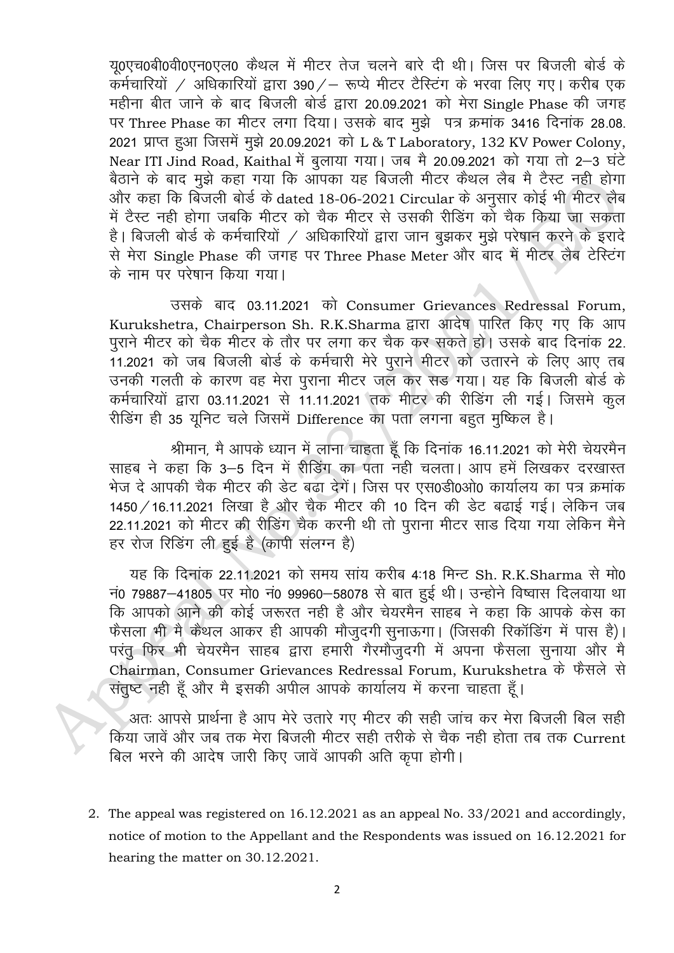यू0एच0बी0वी0एन0एल0 कैथल में मीटर तेज चलने बारे दी थी। जिस पर बिजली बोर्ड के कर्मचारियों / अधिकारियों द्वारा 390/ - रूप्ये मीटर टैस्टिंग के भरवा लिए गए। करीब एक महीना बीत जाने के बाद बिजली बोर्ड द्वारा 20.09.2021 को मेरा Single Phase की जगह पर Three Phase का मीटर लगा दिया। उसके बाद मुझे पत्र क्रमांक 3416 दिनांक 28.08. 2021 प्राप्त हुआ जिसमें मुझे 20.09.2021 को L & T Laboratory, 132 KV Power Colony, Near ITI Jind Road, Kaithal में बुलाया गया। जब मै 20.09.2021 को गया तो 2-3 घंटे बैठाने के बाद मुझे कहा गया कि आपका यह बिजली मीटर कैथल लैब मै टैस्ट नही होगा और कहा कि बिजली बोर्ड के dated 18-06-2021 Circular के अनुसार कोई भी मीटर लैब में टैस्ट नही होगा जबकि मीटर को चैक मीटर से उसकी रीडिंग को चैक किया जा सकता है। बिजली बोर्ड के कर्मचारियों / अधिकारियों द्वारा जान बुझकर मुझे परेषान करने के इरादे से मेरा Single Phase की जगह पर Three Phase Meter और बाद में मीटर लैब टेस्टिंग के नाम पर परेषान किया गया।

उसके बाद 03.11.2021 को Consumer Grievances Redressal Forum, Kurukshetra, Chairperson Sh. R.K.Sharma द्वारा आदेष पारित किए गए कि आप पुराने मीटर को चैक मीटर के तौर पर लगा कर चैक कर सकते हो। उसके बाद दिनांक 22. 11.2021 को जब बिजली बोर्ड के कर्मचारी मेरे पुराने मीटर को उतारने के लिए आए तब उनकी गलती के कारण वह मेरा पुराना मीटर जल कर सड गया। यह कि बिजली बोर्ड के कर्मचारियों द्वारा 03.11.2021 से 11.11.2021 तक मीटर की रीडिंग ली गई। जिसमे कुल रीडिंग ही 35 यूनिट चले जिसमें Difference का पता लगना बहुत मुष्किल है।

श्रीमान, मै आपके ध्यान में लाना चाहता हूँ कि दिनांक 16.11.2021 को मेरी चेयरमैन साहब ने कहा कि 3–5 दिन में रीडिंग का पता नही चलता। आप हमें लिखकर दरखास्त भेज दे आपकी चैक मीटर की डेट बढ़ा देगें। जिस पर एस0डी0ओ0 कार्यालय का पत्र क्रमांक 1450 / 16.11.2021 लिखा है और चैक मीटर की 10 दिन की डेट बढाई गई। लेकिन जब 22.11.2021 को मीटर की रीडिंग चैक करनी थी तो पुराना मीटर साड दिया गया लेकिन मैने हर रोज रिडिंग ली हुई है (कापी संलग्न है)

यह कि दिनांक 22.11.2021 को समय सांय करीब 4:18 मिन्ट Sh. R.K.Sharma से मो0 नं0 79887-41805 पर मो0 नं0 99960-58078 से बात हुई थी। उन्होने विष्वास दिलवाया था कि आपको आने की कोई जरूरत नही है और चेयरमैन साहब ने कहा कि आपके केस का फैसला भी मै कैथल आकर ही आपकी मौजुदगी सुनाऊगा। (जिसकी रिकॉडिंग में पास है)। परंतु फिर भी चेयरमैन साहब द्वारा हमारी गैरमौजुदगी में अपना फैसला सुनाया और मै Chairman, Consumer Grievances Redressal Forum, Kurukshetra के फैसले से संतुष्ट नही हूँ और मै इसकी अपील आपके कार्यालय में करना चाहता हूँ।

अतः आपसे प्रार्थना है आप मेरे उतारे गए मीटर की सही जांच कर मेरा बिजली बिल सही किया जावें और जब तक मेरा बिजली मीटर सही तरीके से चैक नही होता तब तक Current बिल भरने की आदेष जारी किए जावें आपकी अति कृपा होगी।

2. The appeal was registered on 16.12.2021 as an appeal No. 33/2021 and accordingly, notice of motion to the Appellant and the Respondents was issued on 16.12.2021 for hearing the matter on 30.12.2021.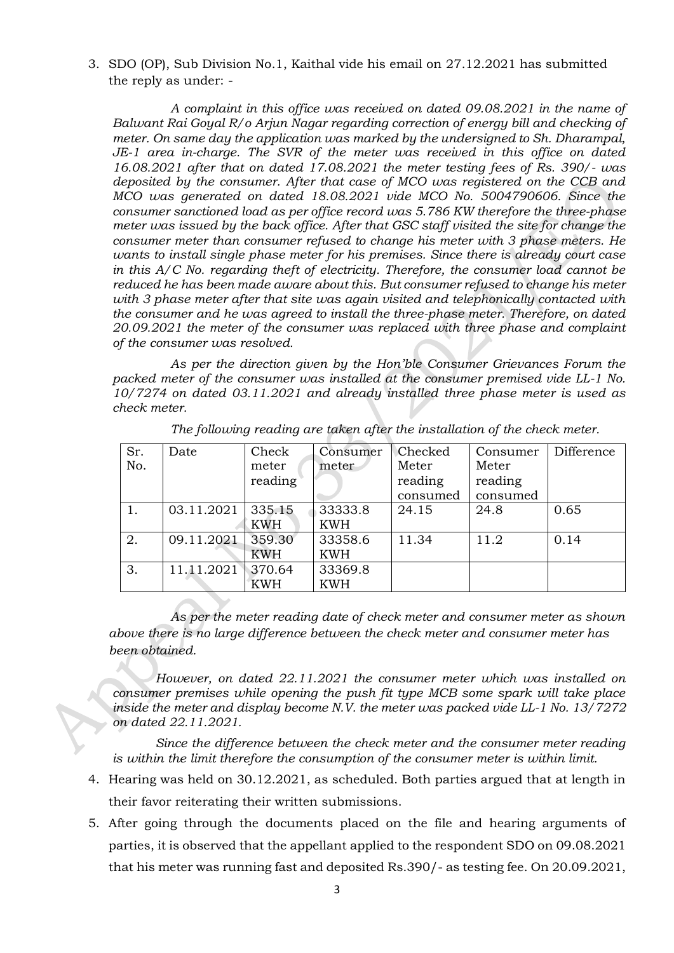3. SDO (OP), Sub Division No.1, Kaithal vide his email on 27.12.2021 has submitted the reply as under: -

*A complaint in this office was received on dated 09.08.2021 in the name of Balwant Rai Goyal R/o Arjun Nagar regarding correction of energy bill and checking of meter. On same day the application was marked by the undersigned to Sh. Dharampal, JE-1 area in-charge. The SVR of the meter was received in this office on dated 16.08.2021 after that on dated 17.08.2021 the meter testing fees of Rs. 390/- was deposited by the consumer. After that case of MCO was registered on the CCB and MCO was generated on dated 18.08.2021 vide MCO No. 5004790606. Since the consumer sanctioned load as per office record was 5.786 KW therefore the three-phase meter was issued by the back office. After that GSC staff visited the site for change the consumer meter than consumer refused to change his meter with 3 phase meters. He wants to install single phase meter for his premises. Since there is already court case in this A/C No. regarding theft of electricity. Therefore, the consumer load cannot be reduced he has been made aware about this. But consumer refused to change his meter with 3 phase meter after that site was again visited and telephonically contacted with the consumer and he was agreed to install the three-phase meter. Therefore, on dated 20.09.2021 the meter of the consumer was replaced with three phase and complaint of the consumer was resolved.* 

*As per the direction given by the Hon'ble Consumer Grievances Forum the packed meter of the consumer was installed at the consumer premised vide LL-1 No. 10/7274 on dated 03.11.2021 and already installed three phase meter is used as check meter.* 

| Sr. | Date       | Check      | Consumer   | Checked  | Consumer | Difference |
|-----|------------|------------|------------|----------|----------|------------|
| No. |            | meter      | meter      | Meter    | Meter    |            |
|     |            | reading    |            | reading  | reading  |            |
|     |            |            |            | consumed | consumed |            |
|     | 03.11.2021 | 335.15     | 33333.8    | 24.15    | 24.8     | 0.65       |
|     |            | <b>KWH</b> | <b>KWH</b> |          |          |            |
| 2.  | 09.11.2021 | 359.30     | 33358.6    | 11.34    | 11.2     | 0.14       |
|     |            | <b>KWH</b> | <b>KWH</b> |          |          |            |
| 3.  | 11.11.2021 | 370.64     | 33369.8    |          |          |            |
|     |            | KWH        | <b>KWH</b> |          |          |            |

*The following reading are taken after the installation of the check meter.* 

*As per the meter reading date of check meter and consumer meter as shown above there is no large difference between the check meter and consumer meter has been obtained.* 

*However, on dated 22.11.2021 the consumer meter which was installed on consumer premises while opening the push fit type MCB some spark will take place inside the meter and display become N.V. the meter was packed vide LL-1 No. 13/7272 on dated 22.11.2021.*

*Since the difference between the check meter and the consumer meter reading is within the limit therefore the consumption of the consumer meter is within limit.*

- 4. Hearing was held on 30.12.2021, as scheduled. Both parties argued that at length in their favor reiterating their written submissions.
- 5. After going through the documents placed on the file and hearing arguments of parties, it is observed that the appellant applied to the respondent SDO on 09.08.2021 that his meter was running fast and deposited Rs.390/- as testing fee. On 20.09.2021,